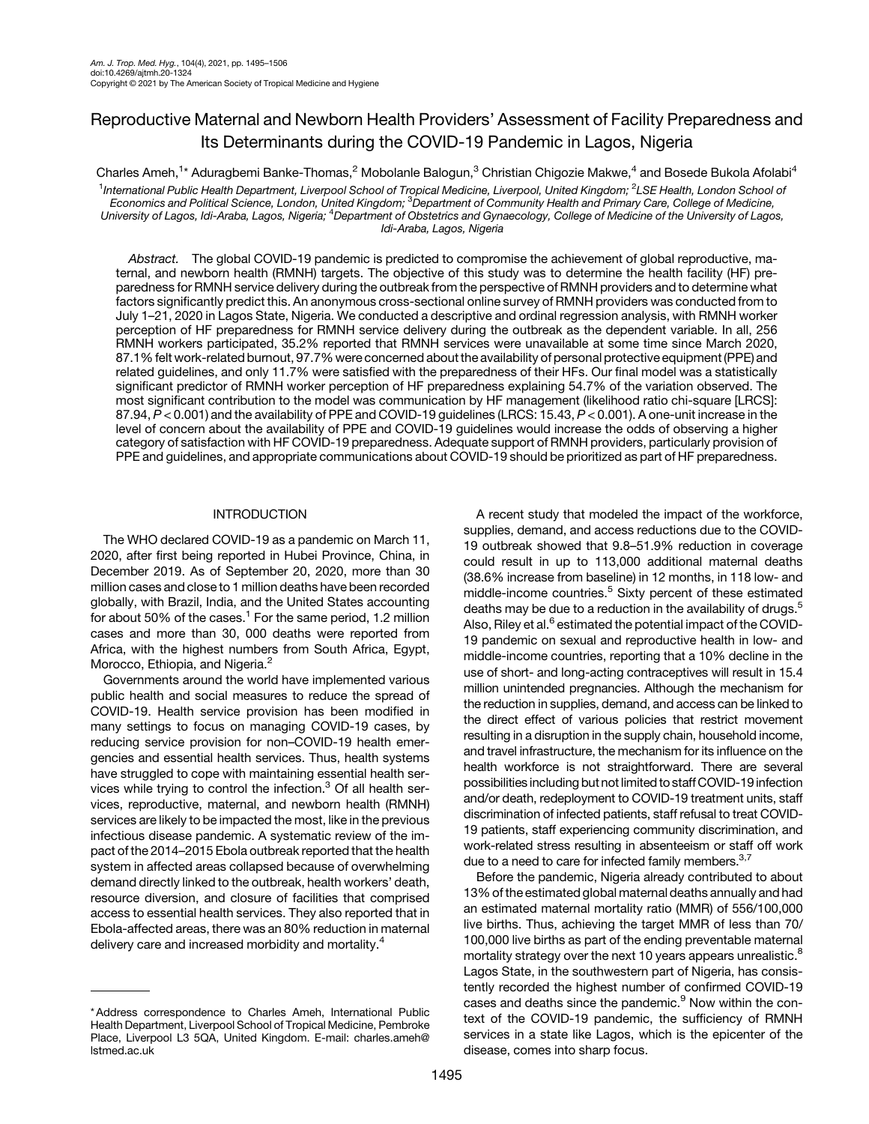# Reproductive Maternal and Newborn Health Providers' Assessment of Facility Preparedness and Its Determinants during the COVID-19 Pandemic in Lagos, Nigeria

Charles Ameh, $^{1*}$  Aduragbemi Banke-Thomas, $^2$  Mobolanle Balogun, $^3$  Christian Chigozie Makwe, $^4$  and Bosede Bukola Afolabi $^4$ <sup>1</sup>International Public Health Department, Liverpool School of Tropical Medicine, Liverpool, United Kingdom; <sup>2</sup>LSE Health, London School of Economics and Political Science, London, United Kingdom; <sup>3</sup>Department of Community Health and Primary Care, College of Medicine,<br>University of Lagos, Idi-Araba, Lagos, Nigeria; <sup>4</sup>Department of Obstetrics and Gynaecology, Idi-Araba, Lagos, Nigeria

Abstract. The global COVID-19 pandemic is predicted to compromise the achievement of global reproductive, maternal, and newborn health (RMNH) targets. The objective of this study was to determine the health facility (HF) preparedness for RMNH service delivery during the outbreak from the perspective of RMNH providers and to determine what factors significantly predict this. An anonymous cross-sectional online survey of RMNH providers was conducted from to July 1–21, 2020 in Lagos State, Nigeria. We conducted a descriptive and ordinal regression analysis, with RMNH worker perception of HF preparedness for RMNH service delivery during the outbreak as the dependent variable. In all, 256 RMNH workers participated, 35.2% reported that RMNH services were unavailable at some time since March 2020, 87.1% felt work-related burnout, 97.7% were concerned about the availability of personal protective equipment (PPE) and related guidelines, and only 11.7% were satisfied with the preparedness of their HFs. Our final model was a statistically significant predictor of RMNH worker perception of HF preparedness explaining 54.7% of the variation observed. The most significant contribution to the model was communication by HF management (likelihood ratio chi-square [LRCS]: 87.94, P < 0.001) and the availability of PPE and COVID-19 guidelines (LRCS: 15.43, P < 0.001). A one-unit increase in the level of concern about the availability of PPE and COVID-19 guidelines would increase the odds of observing a higher category of satisfaction with HF COVID-19 preparedness. Adequate support of RMNH providers, particularly provision of PPE and guidelines, and appropriate communications about COVID-19 should be prioritized as part of HF preparedness.

## INTRODUCTION

The WHO declared COVID-19 as a pandemic on March 11, 2020, after first being reported in Hubei Province, China, in December 2019. As of September 20, 2020, more than 30 million cases and close to 1 million deaths have been recorded globally, with Brazil, India, and the United States accounting for about 50% of the cases.<sup>[1](#page-10-0)</sup> For the same period, 1.2 million cases and more than 30, 000 deaths were reported from Africa, with the highest numbers from South Africa, Egypt, Morocco, Ethiopia, and Nigeria.<sup>[2](#page-10-0)</sup>

Governments around the world have implemented various public health and social measures to reduce the spread of COVID-19. Health service provision has been modified in many settings to focus on managing COVID-19 cases, by reducing service provision for non–COVID-19 health emergencies and essential health services. Thus, health systems have struggled to cope with maintaining essential health services while trying to control the infection.<sup>3</sup> Of all health services, reproductive, maternal, and newborn health (RMNH) services are likely to be impacted the most, like in the previous infectious disease pandemic. A systematic review of the impact of the 2014–2015 Ebola outbreak reported that the health system in affected areas collapsed because of overwhelming demand directly linked to the outbreak, health workers' death, resource diversion, and closure of facilities that comprised access to essential health services. They also reported that in Ebola-affected areas, there was an 80% reduction in maternal delivery care and increased morbidity and mortality.<sup>[4](#page-10-0)</sup>

A recent study that modeled the impact of the workforce, supplies, demand, and access reductions due to the COVID-19 outbreak showed that 9.8–51.9% reduction in coverage could result in up to 113,000 additional maternal deaths (38.6% increase from baseline) in 12 months, in 118 low- and middle-income countries.<sup>[5](#page-10-0)</sup> Sixty percent of these estimated deaths may be due to a reduction in the availability of drugs.<sup>[5](#page-10-0)</sup> Also, Riley et al.<sup>[6](#page-10-0)</sup> estimated the potential impact of the COVID-19 pandemic on sexual and reproductive health in low- and middle-income countries, reporting that a 10% decline in the use of short- and long-acting contraceptives will result in 15.4 million unintended pregnancies. Although the mechanism for the reduction in supplies, demand, and access can be linked to the direct effect of various policies that restrict movement resulting in a disruption in the supply chain, household income, and travel infrastructure, the mechanism for its influence on the health workforce is not straightforward. There are several possibilities including but not limited to staff COVID-19 infection and/or death, redeployment to COVID-19 treatment units, staff discrimination of infected patients, staff refusal to treat COVID-19 patients, staff experiencing community discrimination, and work-related stress resulting in absenteeism or staff off work due to a need to care for infected family members.<sup>[3,7](#page-10-0)</sup>

Before the pandemic, Nigeria already contributed to about 13% of the estimated global maternal deaths annually and had an estimated maternal mortality ratio (MMR) of 556/100,000 live births. Thus, achieving the target MMR of less than 70/ 100,000 live births as part of the ending preventable maternal mortality strategy over the next 10 years appears unrealistic.<sup>[8](#page-10-0)</sup> Lagos State, in the southwestern part of Nigeria, has consistently recorded the highest number of confirmed COVID-19 cases and deaths since the pandemic.<sup>[9](#page-10-0)</sup> Now within the context of the COVID-19 pandemic, the sufficiency of RMNH services in a state like Lagos, which is the epicenter of the disease, comes into sharp focus.

<sup>\*</sup> Address correspondence to Charles Ameh, International Public Health Department, Liverpool School of Tropical Medicine, Pembroke Place, Liverpool L3 5QA, United Kingdom. E-mail: [charles.ameh@](mailto:charles.ameh@lstmed.ac.uk) [lstmed.ac.uk](mailto:charles.ameh@lstmed.ac.uk)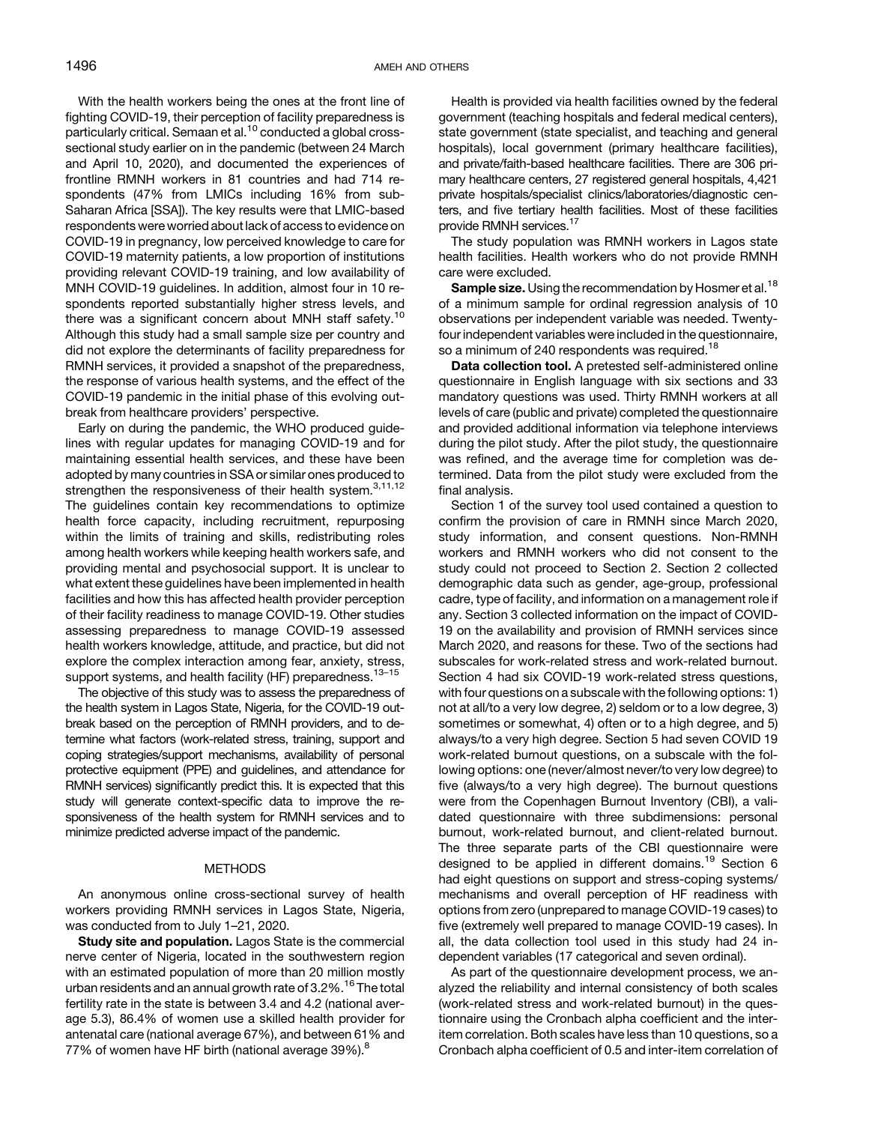With the health workers being the ones at the front line of fighting COVID-19, their perception of facility preparedness is particularly critical. Semaan et al.<sup>[10](#page-10-0)</sup> conducted a global crosssectional study earlier on in the pandemic (between 24 March and April 10, 2020), and documented the experiences of frontline RMNH workers in 81 countries and had 714 respondents (47% from LMICs including 16% from sub-Saharan Africa [SSA]). The key results were that LMIC-based respondents were worried about lack of access to evidence on COVID-19 in pregnancy, low perceived knowledge to care for COVID-19 maternity patients, a low proportion of institutions providing relevant COVID-19 training, and low availability of MNH COVID-19 guidelines. In addition, almost four in 10 respondents reported substantially higher stress levels, and there was a significant concern about MNH staff safety.<sup>[10](#page-10-0)</sup> Although this study had a small sample size per country and did not explore the determinants of facility preparedness for RMNH services, it provided a snapshot of the preparedness, the response of various health systems, and the effect of the COVID-19 pandemic in the initial phase of this evolving outbreak from healthcare providers' perspective.

Early on during the pandemic, the WHO produced guidelines with regular updates for managing COVID-19 and for maintaining essential health services, and these have been adopted by many countries in SSA or similar ones produced to strengthen the responsiveness of their health system.<sup>[3,11,12](#page-10-0)</sup> The guidelines contain key recommendations to optimize health force capacity, including recruitment, repurposing within the limits of training and skills, redistributing roles among health workers while keeping health workers safe, and providing mental and psychosocial support. It is unclear to what extent these guidelines have been implemented in health facilities and how this has affected health provider perception of their facility readiness to manage COVID-19. Other studies assessing preparedness to manage COVID-19 assessed health workers knowledge, attitude, and practice, but did not explore the complex interaction among fear, anxiety, stress, support systems, and health facility (HF) preparedness.<sup>[13](#page-10-0)–[15](#page-10-0)</sup>

The objective of this study was to assess the preparedness of the health system in Lagos State, Nigeria, for the COVID-19 outbreak based on the perception of RMNH providers, and to determine what factors (work-related stress, training, support and coping strategies/support mechanisms, availability of personal protective equipment (PPE) and guidelines, and attendance for RMNH services) significantly predict this. It is expected that this study will generate context-specific data to improve the responsiveness of the health system for RMNH services and to minimize predicted adverse impact of the pandemic.

#### METHODS

An anonymous online cross-sectional survey of health workers providing RMNH services in Lagos State, Nigeria, was conducted from to July 1–21, 2020.

Study site and population. Lagos State is the commercial nerve center of Nigeria, located in the southwestern region with an estimated population of more than 20 million mostly urban residents and an annual growth rate of 3.2%.<sup>16</sup> The total fertility rate in the state is between 3.4 and 4.2 (national average 5.3), 86.4% of women use a skilled health provider for antenatal care (national average 67%), and between 61% and 77% of women have HF birth (national average 39%).<sup>[8](#page-10-0)</sup>

Health is provided via health facilities owned by the federal government (teaching hospitals and federal medical centers), state government (state specialist, and teaching and general hospitals), local government (primary healthcare facilities), and private/faith-based healthcare facilities. There are 306 primary healthcare centers, 27 registered general hospitals, 4,421 private hospitals/specialist clinics/laboratories/diagnostic centers, and five tertiary health facilities. Most of these facilities provide RMNH services.<sup>17</sup>

The study population was RMNH workers in Lagos state health facilities. Health workers who do not provide RMNH care were excluded.

Sample size. Using the recommendation by Hosmer et al.<sup>[18](#page-10-0)</sup> of a minimum sample for ordinal regression analysis of 10 observations per independent variable was needed. Twentyfour independent variables were included in the questionnaire, so a minimum of 240 respondents was required.<sup>[18](#page-10-0)</sup>

Data collection tool. A pretested self-administered online questionnaire in English language with six sections and 33 mandatory questions was used. Thirty RMNH workers at all levels of care (public and private) completed the questionnaire and provided additional information via telephone interviews during the pilot study. After the pilot study, the questionnaire was refined, and the average time for completion was determined. Data from the pilot study were excluded from the final analysis.

Section 1 of the survey tool used contained a question to confirm the provision of care in RMNH since March 2020, study information, and consent questions. Non-RMNH workers and RMNH workers who did not consent to the study could not proceed to Section 2. Section 2 collected demographic data such as gender, age-group, professional cadre, type of facility, and information on a management role if any. Section 3 collected information on the impact of COVID-19 on the availability and provision of RMNH services since March 2020, and reasons for these. Two of the sections had subscales for work-related stress and work-related burnout. Section 4 had six COVID-19 work-related stress questions, with four questions on a subscale with the following options: 1) not at all/to a very low degree, 2) seldom or to a low degree, 3) sometimes or somewhat, 4) often or to a high degree, and 5) always/to a very high degree. Section 5 had seven COVID 19 work-related burnout questions, on a subscale with the following options: one (never/almost never/to very low degree) to five (always/to a very high degree). The burnout questions were from the Copenhagen Burnout Inventory (CBI), a validated questionnaire with three subdimensions: personal burnout, work-related burnout, and client-related burnout. The three separate parts of the CBI questionnaire were designed to be applied in different domains.<sup>[19](#page-10-0)</sup> Section 6 had eight questions on support and stress-coping systems/ mechanisms and overall perception of HF readiness with options from zero (unprepared to manage COVID-19 cases) to five (extremely well prepared to manage COVID-19 cases). In all, the data collection tool used in this study had 24 independent variables (17 categorical and seven ordinal).

As part of the questionnaire development process, we analyzed the reliability and internal consistency of both scales (work-related stress and work-related burnout) in the questionnaire using the Cronbach alpha coefficient and the interitem correlation. Both scales have less than 10 questions, so a Cronbach alpha coefficient of 0.5 and inter-item correlation of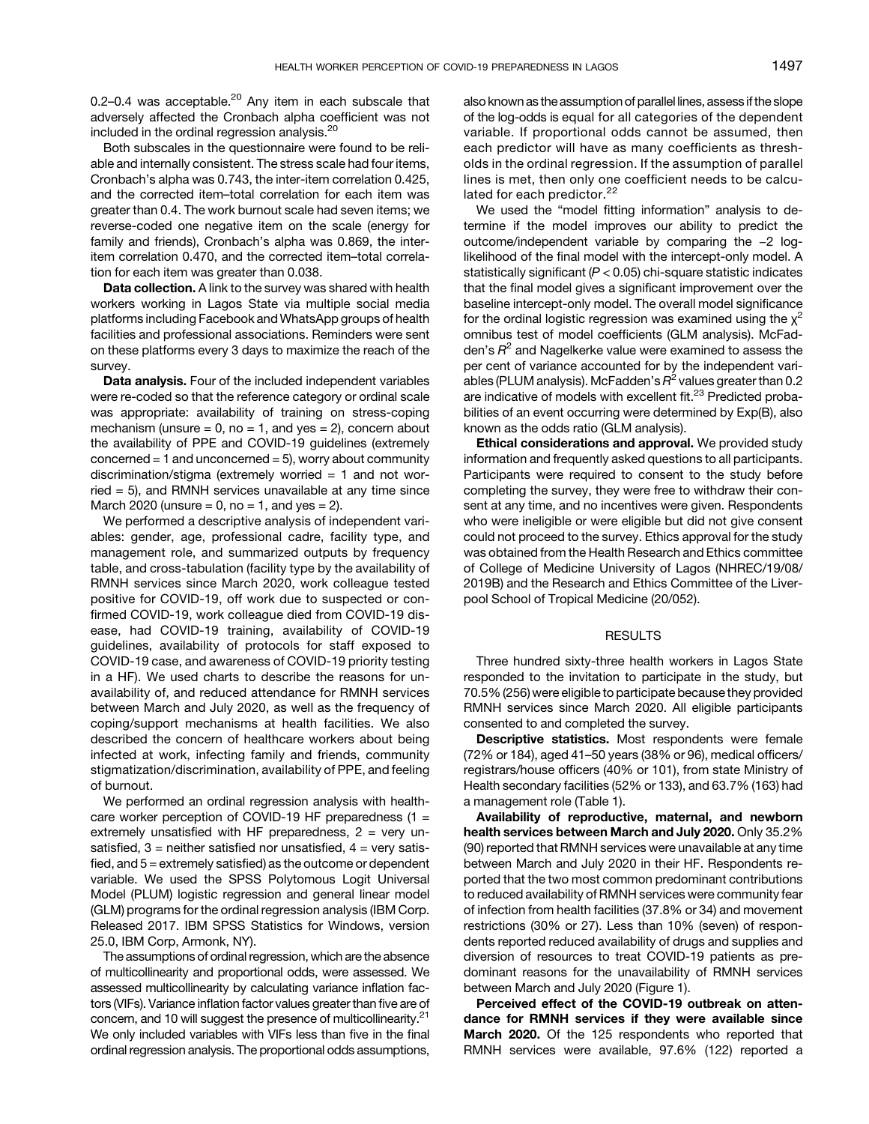0.2–0.4 was acceptable. $20$  Any item in each subscale that adversely affected the Cronbach alpha coefficient was not included in the ordinal regression analysis.[20](#page-10-0)

Both subscales in the questionnaire were found to be reliable and internally consistent. The stress scale had four items, Cronbach's alpha was 0.743, the inter-item correlation 0.425, and the corrected item–total correlation for each item was greater than 0.4. The work burnout scale had seven items; we reverse-coded one negative item on the scale (energy for family and friends), Cronbach's alpha was 0.869, the interitem correlation 0.470, and the corrected item–total correlation for each item was greater than 0.038.

Data collection. A link to the survey was shared with health workers working in Lagos State via multiple social media platforms including Facebook and WhatsApp groups of health facilities and professional associations. Reminders were sent on these platforms every 3 days to maximize the reach of the survey.

Data analysis. Four of the included independent variables were re-coded so that the reference category or ordinal scale was appropriate: availability of training on stress-coping mechanism (unsure  $= 0$ , no  $= 1$ , and yes  $= 2$ ), concern about the availability of PPE and COVID-19 guidelines (extremely concerned  $= 1$  and unconcerned  $= 5$ ), worry about community discrimination/stigma (extremely worried  $= 1$  and not worried = 5), and RMNH services unavailable at any time since March 2020 (unsure  $= 0$ , no  $= 1$ , and yes  $= 2$ ).

We performed a descriptive analysis of independent variables: gender, age, professional cadre, facility type, and management role, and summarized outputs by frequency table, and cross-tabulation (facility type by the availability of RMNH services since March 2020, work colleague tested positive for COVID-19, off work due to suspected or confirmed COVID-19, work colleague died from COVID-19 disease, had COVID-19 training, availability of COVID-19 guidelines, availability of protocols for staff exposed to COVID-19 case, and awareness of COVID-19 priority testing in a HF). We used charts to describe the reasons for unavailability of, and reduced attendance for RMNH services between March and July 2020, as well as the frequency of coping/support mechanisms at health facilities. We also described the concern of healthcare workers about being infected at work, infecting family and friends, community stigmatization/discrimination, availability of PPE, and feeling of burnout.

We performed an ordinal regression analysis with healthcare worker perception of COVID-19 HF preparedness  $(1 =$ extremely unsatisfied with HF preparedness,  $2$  = very unsatisfied,  $3$  = neither satisfied nor unsatisfied,  $4$  = very satisfied, and 5 = extremely satisfied) as the outcome or dependent variable. We used the SPSS Polytomous Logit Universal Model (PLUM) logistic regression and general linear model (GLM) programs for the ordinal regression analysis (IBM Corp. Released 2017. IBM SPSS Statistics for Windows, version 25.0, IBM Corp, Armonk, NY).

The assumptions of ordinal regression, which are the absence of multicollinearity and proportional odds, were assessed. We assessed multicollinearity by calculating variance inflation factors (VIFs). Variance inflation factor values greater than five are of concern, and 10 will suggest the presence of multicollinearity.<sup>[21](#page-11-0)</sup> We only included variables with VIFs less than five in the final ordinal regression analysis. The proportional odds assumptions, also known as the assumption of parallel lines, assess if the slope of the log-odds is equal for all categories of the dependent variable. If proportional odds cannot be assumed, then each predictor will have as many coefficients as thresholds in the ordinal regression. If the assumption of parallel lines is met, then only one coefficient needs to be calcu-lated for each predictor.<sup>[22](#page-11-0)</sup>

We used the "model fitting information" analysis to determine if the model improves our ability to predict the lated for each predictor.<sup>22</sup><br>We used the "model fitting information" analysis to de-<br>termine if the model improves our ability to predict the<br>outcome/independent variable by comparing the −2 loglikelihood of the final model with the intercept-only model. A statistically significant ( $P < 0.05$ ) chi-square statistic indicates that the final model gives a significant improvement over the baseline intercept-only model. The overall model significance for the ordinal logistic regression was examined using the  $\chi^2$ omnibus test of model coefficients (GLM analysis). McFadden's  $R^2$  and Nagelkerke value were examined to assess the per cent of variance accounted for by the independent variables (PLUM analysis). McFadden's  $R^2$  values greater than 0.2 are indicative of models with excellent fit.<sup>[23](#page-11-0)</sup> Predicted probabilities of an event occurring were determined by Exp(B), also known as the odds ratio (GLM analysis).

Ethical considerations and approval. We provided study information and frequently asked questions to all participants. Participants were required to consent to the study before completing the survey, they were free to withdraw their consent at any time, and no incentives were given. Respondents who were ineligible or were eligible but did not give consent could not proceed to the survey. Ethics approval for the study was obtained from the Health Research and Ethics committee of College of Medicine University of Lagos (NHREC/19/08/ 2019B) and the Research and Ethics Committee of the Liverpool School of Tropical Medicine (20/052).

### RESULTS

Three hundred sixty-three health workers in Lagos State responded to the invitation to participate in the study, but 70.5% (256) were eligible to participate because they provided RMNH services since March 2020. All eligible participants consented to and completed the survey.

Descriptive statistics. Most respondents were female (72% or 184), aged 41–50 years (38% or 96), medical officers/ registrars/house officers (40% or 101), from state Ministry of Health secondary facilities (52% or 133), and 63.7% (163) had a management role [\(Table 1](#page-3-0)).

Availability of reproductive, maternal, and newborn health services between March and July 2020. Only 35.2% (90) reported that RMNH services were unavailable at any time between March and July 2020 in their HF. Respondents reported that the two most common predominant contributions to reduced availability of RMNH services were community fear of infection from health facilities (37.8% or 34) and movement restrictions (30% or 27). Less than 10% (seven) of respondents reported reduced availability of drugs and supplies and diversion of resources to treat COVID-19 patients as predominant reasons for the unavailability of RMNH services between March and July 2020 [\(Figure 1](#page-3-0)).

Perceived effect of the COVID-19 outbreak on attendance for RMNH services if they were available since March 2020. Of the 125 respondents who reported that RMNH services were available, 97.6% (122) reported a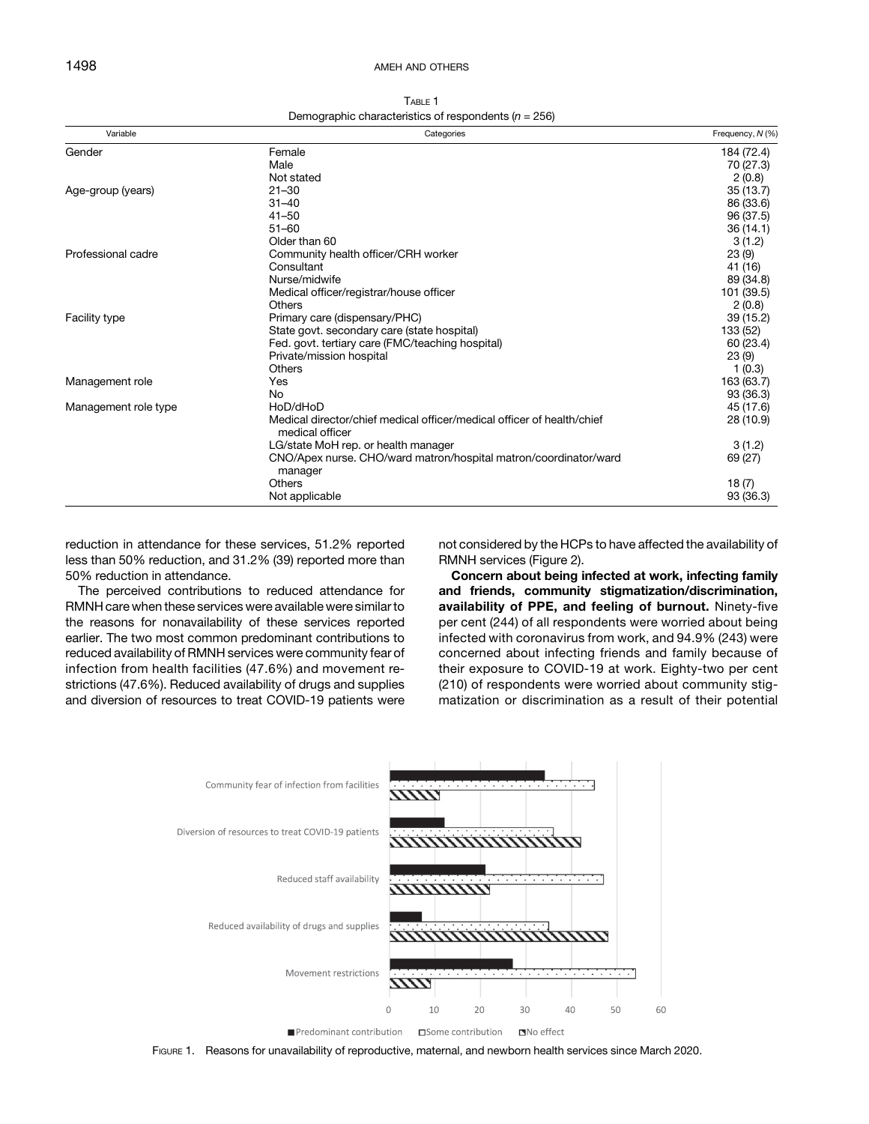## <span id="page-3-0"></span>1498 **AMEH** AND OTHERS

| Variable             | Categories                                                                                | Frequency, N (%) |
|----------------------|-------------------------------------------------------------------------------------------|------------------|
| Gender               | Female                                                                                    | 184 (72.4)       |
|                      | Male                                                                                      | 70 (27.3)        |
|                      | Not stated                                                                                | 2(0.8)           |
| Age-group (years)    | $21 - 30$                                                                                 | 35(13.7)         |
|                      | $31 - 40$                                                                                 | 86 (33.6)        |
|                      | $41 - 50$                                                                                 | 96 (37.5)        |
|                      | $51 - 60$                                                                                 | 36(14.1)         |
|                      | Older than 60                                                                             | 3(1.2)           |
| Professional cadre   | Community health officer/CRH worker                                                       | 23(9)            |
|                      | Consultant                                                                                | 41 (16)          |
|                      | Nurse/midwife                                                                             | 89 (34.8)        |
|                      | Medical officer/registrar/house officer                                                   | 101 (39.5)       |
|                      | <b>Others</b>                                                                             | 2(0.8)           |
| <b>Facility type</b> | Primary care (dispensary/PHC)                                                             | 39 (15.2)        |
|                      | State govt. secondary care (state hospital)                                               | 133 (52)         |
|                      | Fed. govt. tertiary care (FMC/teaching hospital)                                          | 60 (23.4)        |
|                      | Private/mission hospital                                                                  | 23(9)            |
|                      | Others                                                                                    | 1(0.3)           |
| Management role      | Yes                                                                                       | 163 (63.7)       |
|                      | No                                                                                        | 93 (36.3)        |
| Management role type | HoD/dHoD                                                                                  | 45 (17.6)        |
|                      | Medical director/chief medical officer/medical officer of health/chief<br>medical officer | 28 (10.9)        |
|                      | LG/state MoH rep. or health manager                                                       | 3(1.2)           |
|                      | CNO/Apex nurse. CHO/ward matron/hospital matron/coordinator/ward<br>manager               | 69 (27)          |
|                      | Others                                                                                    | 18(7)            |
|                      | Not applicable                                                                            | 93 (36.3)        |

TABLE 1 Demographic characteristics of respondents ( $n = 256$ )

reduction in attendance for these services, 51.2% reported less than 50% reduction, and 31.2% (39) reported more than 50% reduction in attendance.

The perceived contributions to reduced attendance for RMNH care when these services were available were similar to the reasons for nonavailability of these services reported earlier. The two most common predominant contributions to reduced availability of RMNH services were community fear of infection from health facilities (47.6%) and movement restrictions (47.6%). Reduced availability of drugs and supplies and diversion of resources to treat COVID-19 patients were

not considered by the HCPs to have affected the availability of RMNH services (Figure 2).

Concern about being infected at work, infecting family and friends, community stigmatization/discrimination, availability of PPE, and feeling of burnout. Ninety-five per cent (244) of all respondents were worried about being infected with coronavirus from work, and 94.9% (243) were concerned about infecting friends and family because of their exposure to COVID-19 at work. Eighty-two per cent (210) of respondents were worried about community stigmatization or discrimination as a result of their potential



FIGURE 1. Reasons for unavailability of reproductive, maternal, and newborn health services since March 2020.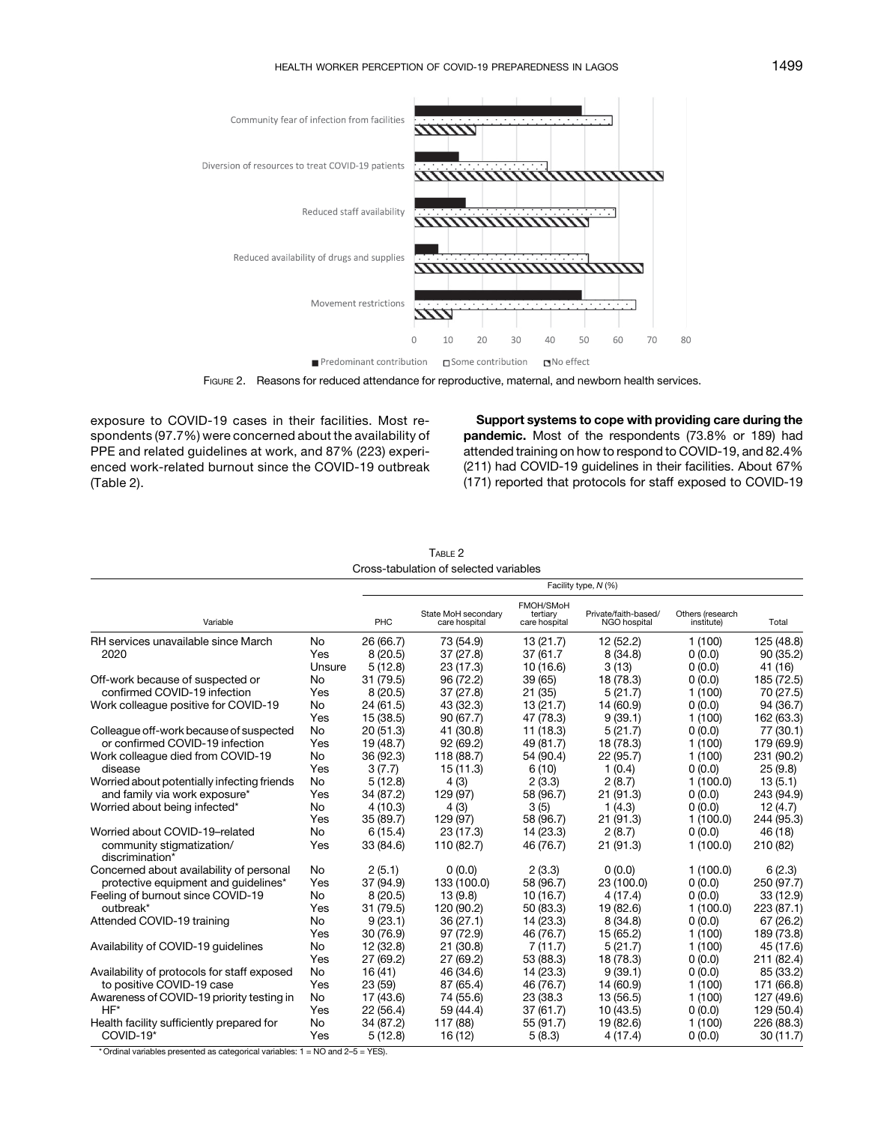<span id="page-4-0"></span>

FIGURE 2. Reasons for reduced attendance for reproductive, maternal, and newborn health services.

exposure to COVID-19 cases in their facilities. Most respondents (97.7%) were concerned about the availability of PPE and related guidelines at work, and 87% (223) experienced work-related burnout since the COVID-19 outbreak (Table 2).

Support systems to cope with providing care during the pandemic. Most of the respondents (73.8% or 189) had attended training on how to respond to COVID-19, and 82.4% (211) had COVID-19 guidelines in their facilities. About 67% (171) reported that protocols for staff exposed to COVID-19

|                                                                                                                                    |                        |                                                | TABLE 2                                          |                                                 |                                               |                                          |                                                     |  |  |  |
|------------------------------------------------------------------------------------------------------------------------------------|------------------------|------------------------------------------------|--------------------------------------------------|-------------------------------------------------|-----------------------------------------------|------------------------------------------|-----------------------------------------------------|--|--|--|
| Cross-tabulation of selected variables                                                                                             |                        |                                                |                                                  |                                                 |                                               |                                          |                                                     |  |  |  |
| Facility type, N (%)                                                                                                               |                        |                                                |                                                  |                                                 |                                               |                                          |                                                     |  |  |  |
| Variable                                                                                                                           |                        | PHC                                            | State MoH secondary<br>care hospital             | FMOH/SMoH<br>tertiary<br>care hospital          | Private/faith-based/<br>NGO hospital          | Others (research<br>institute)           | Total                                               |  |  |  |
| RH services unavailable since March<br>2020                                                                                        | No<br>Yes<br>Unsure    | 26 (66.7)<br>8(20.5)<br>5(12.8)                | 73 (54.9)<br>37(27.8)<br>23(17.3)                | 13(21.7)<br>37 (61.7<br>10(16.6)                | 12(52.2)<br>8(34.8)<br>3(13)                  | 1(100)<br>0(0.0)<br>0(0.0)               | 125 (48.8)<br>90(35.2)<br>41 (16)                   |  |  |  |
| Off-work because of suspected or<br>confirmed COVID-19 infection<br>Work colleague positive for COVID-19                           | No<br>Yes<br>No<br>Yes | 31 (79.5)<br>8(20.5)<br>24 (61.5)<br>15 (38.5) | 96 (72.2)<br>37(27.8)<br>43 (32.3)<br>90(67.7)   | 39 (65)<br>21(35)<br>13(21.7)<br>47 (78.3)      | 18 (78.3)<br>5(21.7)<br>14 (60.9)<br>9(39.1)  | 0(0.0)<br>1(100)<br>0(0.0)<br>1(100)     | 185 (72.5)<br>70 (27.5)<br>94 (36.7)<br>162 (63.3)  |  |  |  |
| Colleague off-work because of suspected<br>or confirmed COVID-19 infection<br>Work colleague died from COVID-19<br>disease         | No<br>Yes<br>No<br>Yes | 20(51.3)<br>19 (48.7)<br>36 (92.3)<br>3(7.7)   | 41 (30.8)<br>92(69.2)<br>118 (88.7)<br>15(11.3)  | 11 (18.3)<br>49 (81.7)<br>54 (90.4)<br>6(10)    | 5(21.7)<br>18 (78.3)<br>22(95.7)<br>1(0.4)    | 0(0.0)<br>1(100)<br>1(100)<br>0(0.0)     | 77 (30.1)<br>179 (69.9)<br>231 (90.2)<br>25(9.8)    |  |  |  |
| Worried about potentially infecting friends<br>and family via work exposure*<br>Worried about being infected*                      | No<br>Yes<br>No<br>Yes | 5(12.8)<br>34 (87.2)<br>4(10.3)<br>35 (89.7)   | 4(3)<br>129 (97)<br>4(3)<br>129 (97)             | 2(3.3)<br>58 (96.7)<br>3(5)<br>58 (96.7)        | 2(8.7)<br>21(91.3)<br>1(4.3)<br>21(91.3)      | 1(100.0)<br>0(0.0)<br>0(0.0)<br>1(100.0) | 13(5.1)<br>243 (94.9)<br>12(4.7)<br>244 (95.3)      |  |  |  |
| Worried about COVID-19-related<br>community stigmatization/<br>discrimination*                                                     | No<br>Yes              | 6(15.4)<br>33 (84.6)                           | 23(17.3)<br>110 (82.7)                           | 14 (23.3)<br>46 (76.7)                          | 2(8.7)<br>21(91.3)                            | 0(0.0)<br>1(100.0)                       | 46 (18)<br>210 (82)                                 |  |  |  |
| Concerned about availability of personal<br>protective equipment and guidelines*<br>Feeling of burnout since COVID-19<br>outbreak* | No<br>Yes<br>No<br>Yes | 2(5.1)<br>37 (94.9)<br>8(20.5)<br>31 (79.5)    | 0(0.0)<br>133 (100.0)<br>13(9.8)<br>120 (90.2)   | 2(3.3)<br>58 (96.7)<br>10(16.7)<br>50 (83.3)    | 0(0.0)<br>23 (100.0)<br>4(17.4)<br>19 (82.6)  | 1(100.0)<br>0(0.0)<br>0(0.0)<br>1(100.0) | 6(2.3)<br>250 (97.7)<br>33 (12.9)<br>223 (87.1)     |  |  |  |
| Attended COVID-19 training                                                                                                         | No<br>Yes              | 9(23.1)<br>30 (76.9)                           | 36(27.1)<br>97 (72.9)                            | 14 (23.3)<br>46 (76.7)                          | 8(34.8)<br>15(65.2)                           | 0(0.0)<br>1(100)                         | 67 (26.2)<br>189 (73.8)                             |  |  |  |
| Availability of COVID-19 guidelines                                                                                                | No<br>Yes              | 12 (32.8)<br>27 (69.2)                         | 21(30.8)<br>27 (69.2)                            | 7(11.7)<br>53 (88.3)                            | 5(21.7)<br>18 (78.3)                          | 1(100)<br>0(0.0)                         | 45 (17.6)<br>211 (82.4)                             |  |  |  |
| Availability of protocols for staff exposed<br>to positive COVID-19 case<br>Awareness of COVID-19 priority testing in<br>$HF^*$    | No<br>Yes<br>No<br>Yes | 16(41)<br>23(59)<br>17 (43.6)<br>22(56.4)      | 46 (34.6)<br>87 (65.4)<br>74 (55.6)<br>59 (44.4) | 14 (23.3)<br>46 (76.7)<br>23 (38.3)<br>37(61.7) | 9(39.1)<br>14 (60.9)<br>13 (56.5)<br>10(43.5) | 0(0.0)<br>1(100)<br>1(100)<br>0(0.0)     | 85 (33.2)<br>171 (66.8)<br>127 (49.6)<br>129 (50.4) |  |  |  |
| Health facility sufficiently prepared for<br>COVID-19*                                                                             | No<br>Yes              | 34 (87.2)<br>5(12.8)                           | 117 (88)<br>16 (12)                              | 55 (91.7)<br>5(8.3)                             | 19 (82.6)<br>4(17.4)                          | 1(100)<br>0(0.0)                         | 226 (88.3)<br>30(11.7)                              |  |  |  |

\* Ordinal variables presented as categorical variables: 1 = NO and 2–5 = YES).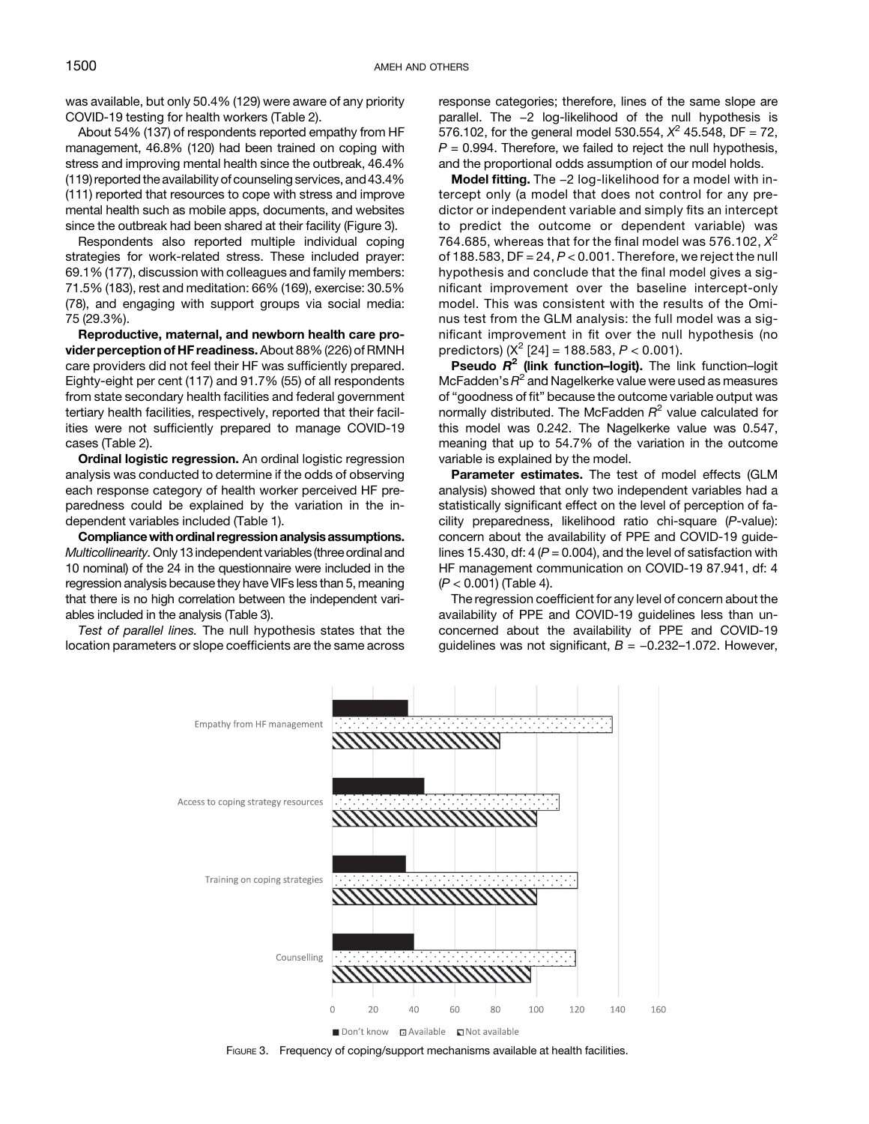was available, but only 50.4% (129) were aware of any priority COVID-19 testing for health workers [\(Table 2](#page-4-0)).

About 54% (137) of respondents reported empathy from HF management, 46.8% (120) had been trained on coping with stress and improving mental health since the outbreak, 46.4% (119) reported the availability of counseling services, and 43.4% (111) reported that resources to cope with stress and improve mental health such as mobile apps, documents, and websites since the outbreak had been shared at their facility (Figure 3).

Respondents also reported multiple individual coping strategies for work-related stress. These included prayer: 69.1% (177), discussion with colleagues and family members: 71.5% (183), rest and meditation: 66% (169), exercise: 30.5% (78), and engaging with support groups via social media: 75 (29.3%).

Reproductive, maternal, and newborn health care provider perception of HF readiness.About 88% (226) of RMNH care providers did not feel their HF was sufficiently prepared. Eighty-eight per cent (117) and 91.7% (55) of all respondents from state secondary health facilities and federal government tertiary health facilities, respectively, reported that their facilities were not sufficiently prepared to manage COVID-19 cases ([Table 2\)](#page-4-0).

Ordinal logistic regression. An ordinal logistic regression analysis was conducted to determine if the odds of observing each response category of health worker perceived HF preparedness could be explained by the variation in the independent variables included ([Table 1\)](#page-3-0).

Compliance with ordinal regression analysis assumptions. Multicollinearity. Only 13 independent variables (three ordinal and 10 nominal) of the 24 in the questionnaire were included in the regression analysis because they have VIFs less than 5, meaning that there is no high correlation between the independent variables included in the analysis [\(Table 3](#page-6-0)).

Test of parallel lines. The null hypothesis states that the location parameters or slope coefficients are the same across

response categories; therefore, lines of the same slope are тн⊵кѕ<br>response categories; therefore, lines of the same slope are<br>parallel. The −2 log-likelihood of the null hypothesis is 576.102, for the general model 530.554,  $X^2$  45.548, DF = 72,  $P = 0.994$ . Therefore, we failed to reject the null hypothesis, and the proportional odds assumption of our model holds. 6.102, for the general model 530.554, X<sup>∠</sup> 45.548, DF = 72,<br>= 0.994. Therefore, we failed to reject the null hypothesis,<br>d the proportional odds assumption of our model holds.<br>**Model fitting.** The −2 log-likelihood for a

tercept only (a model that does not control for any predictor or independent variable and simply fits an intercept to predict the outcome or dependent variable) was 764.685, whereas that for the final model was 576.102,  $X^2$ of 188.583, DF =  $24, P < 0.001$ . Therefore, we reject the null hypothesis and conclude that the final model gives a significant improvement over the baseline intercept-only model. This was consistent with the results of the Ominus test from the GLM analysis: the full model was a significant improvement in fit over the null hypothesis (no predictors)  $(X^2 \mid 24] = 188.583, P < 0.001$ .

**Pseudo**  $R^2$  **(link function–logit).** The link function–logit McFadden's  $R^2$  and Nagelkerke value were used as measures of "goodness of fit" because the outcome variable output was normally distributed. The McFadden  $R^2$  value calculated for this model was 0.242. The Nagelkerke value was 0.547, meaning that up to 54.7% of the variation in the outcome variable is explained by the model.

Parameter estimates. The test of model effects (GLM analysis) showed that only two independent variables had a statistically significant effect on the level of perception of facility preparedness, likelihood ratio chi-square (P-value): concern about the availability of PPE and COVID-19 guidelines 15.430, df: 4 ( $P = 0.004$ ), and the level of satisfaction with HF management communication on COVID-19 87.941, df: 4  $(P < 0.001)$  ([Table 4\)](#page-6-0).

The regression coefficient for any level of concern about the availability of PPE and COVID-19 guidelines less than unconcerned about the availability of PPE and COVID-19 The regression coefficient for any level of concern about the availability of PPE and COVID-19 guidelines less than unconcerned about the availability of PPE and COVID-19 guidelines was not significant,  $B = -0.232-1.072$ .



FIGURE 3. Frequency of coping/support mechanisms available at health facilities.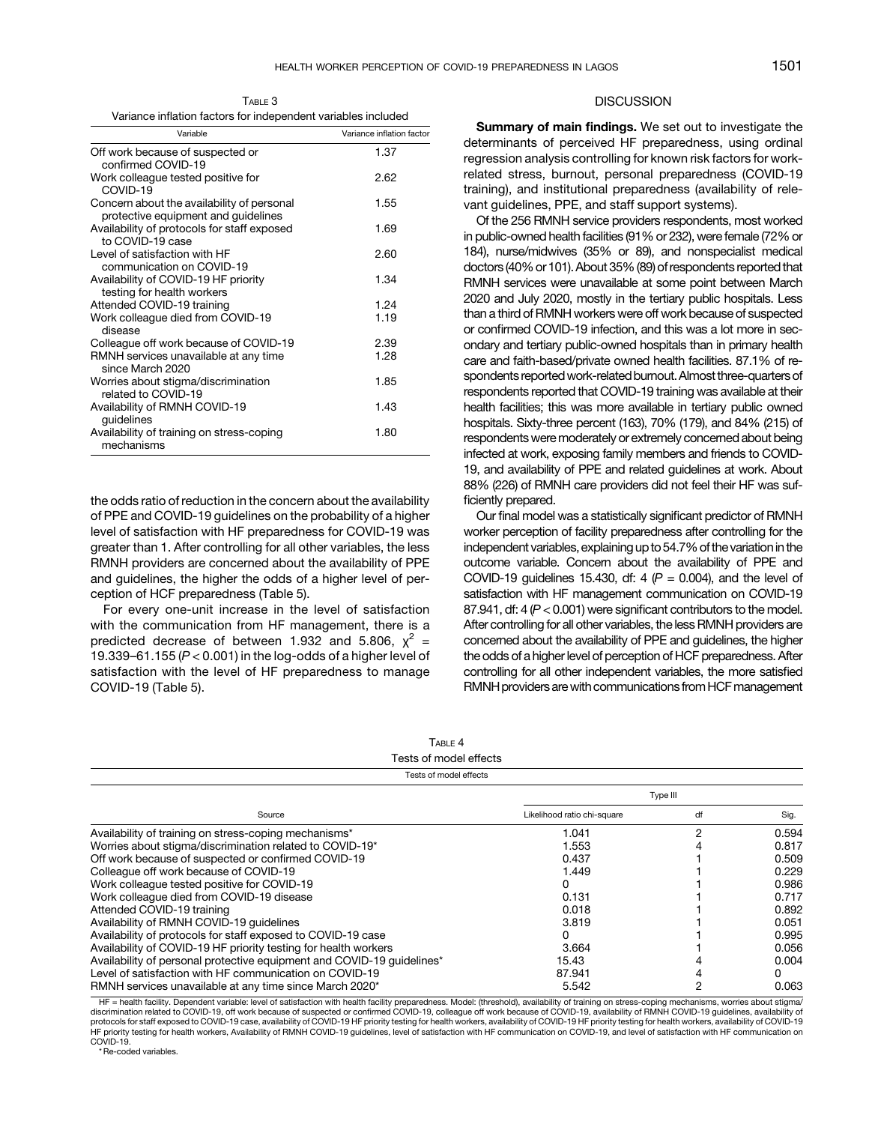<span id="page-6-0"></span>TABLE 3 Variance inflation factors for independent variables included

| Variable                                                                          | Variance inflation factor |
|-----------------------------------------------------------------------------------|---------------------------|
| Off work because of suspected or<br>confirmed COVID-19                            | 1.37                      |
| Work colleague tested positive for<br>COVID-19                                    | 2.62                      |
| Concern about the availability of personal<br>protective equipment and guidelines | 1.55                      |
| Availability of protocols for staff exposed<br>to COVID-19 case                   | 1.69                      |
| Level of satisfaction with HF<br>communication on COVID-19                        | 2.60                      |
| Availability of COVID-19 HF priority<br>testing for health workers                | 1.34                      |
| Attended COVID-19 training                                                        | 1.24                      |
| Work colleague died from COVID-19<br>disease                                      | 1.19                      |
| Colleague off work because of COVID-19                                            | 2.39                      |
| RMNH services unavailable at any time<br>since March 2020                         | 1.28                      |
| Worries about stigma/discrimination<br>related to COVID-19                        | 1.85                      |
| Availability of RMNH COVID-19<br>quidelines                                       | 1.43                      |
| Availability of training on stress-coping<br>mechanisms                           | 1.80                      |

the odds ratio of reduction in the concern about the availability of PPE and COVID-19 guidelines on the probability of a higher level of satisfaction with HF preparedness for COVID-19 was greater than 1. After controlling for all other variables, the less RMNH providers are concerned about the availability of PPE and guidelines, the higher the odds of a higher level of perception of HCF preparedness ([Table 5\)](#page-7-0).

For every one-unit increase in the level of satisfaction with the communication from HF management, there is a predicted decrease of between 1.932 and 5.806,  $\chi^2$  = 19.339–61.155 (P < 0.001) in the log-odds of a higher level of satisfaction with the level of HF preparedness to manage COVID-19 ([Table 5\)](#page-7-0).

# **DISCUSSION**

Summary of main findings. We set out to investigate the determinants of perceived HF preparedness, using ordinal regression analysis controlling for known risk factors for workrelated stress, burnout, personal preparedness (COVID-19 training), and institutional preparedness (availability of relevant guidelines, PPE, and staff support systems).

Of the 256 RMNH service providers respondents, most worked in public-owned health facilities (91% or 232), were female (72% or 184), nurse/midwives (35% or 89), and nonspecialist medical doctors (40% or 101). About 35% (89) of respondents reported that RMNH services were unavailable at some point between March 2020 and July 2020, mostly in the tertiary public hospitals. Less than a third of RMNH workers were off work because of suspected or confirmed COVID-19 infection, and this was a lot more in secondary and tertiary public-owned hospitals than in primary health care and faith-based/private owned health facilities. 87.1% of respondents reported work-related burnout. Almost three-quarters of respondents reported that COVID-19 training was available at their health facilities; this was more available in tertiary public owned hospitals. Sixty-three percent (163), 70% (179), and 84% (215) of respondents were moderately or extremely concerned about being infected at work, exposing family members and friends to COVID-19, and availability of PPE and related guidelines at work. About 88% (226) of RMNH care providers did not feel their HF was sufficiently prepared.

Our final model was a statistically significant predictor of RMNH worker perception of facility preparedness after controlling for the independent variables, explaining up to 54.7% of the variation in the outcome variable. Concern about the availability of PPE and COVID-19 guidelines 15.430, df: 4 ( $P = 0.004$ ), and the level of satisfaction with HF management communication on COVID-19 87.941, df: 4  $(P < 0.001)$  were significant contributors to the model. After controlling for all other variables, the less RMNH providers are concerned about the availability of PPE and guidelines, the higher the odds of a higher level of perception of HCF preparedness. After controlling for all other independent variables, the more satisfied RMNH providers are with communications from HCF management

| TABLE 4                |
|------------------------|
| Tests of model effects |
| Tests of model effects |

|                                                                        | Type III                    |    |       |  |  |  |  |
|------------------------------------------------------------------------|-----------------------------|----|-------|--|--|--|--|
| Source                                                                 | Likelihood ratio chi-square | df | Sig.  |  |  |  |  |
| Availability of training on stress-coping mechanisms*                  | 1.041                       |    | 0.594 |  |  |  |  |
| Worries about stigma/discrimination related to COVID-19*               | 1.553                       |    | 0.817 |  |  |  |  |
| Off work because of suspected or confirmed COVID-19                    | 0.437                       |    | 0.509 |  |  |  |  |
| Colleague off work because of COVID-19                                 | 1.449                       |    | 0.229 |  |  |  |  |
| Work colleague tested positive for COVID-19                            |                             |    | 0.986 |  |  |  |  |
| Work colleague died from COVID-19 disease                              | 0.131                       |    | 0.717 |  |  |  |  |
| Attended COVID-19 training                                             | 0.018                       |    | 0.892 |  |  |  |  |
| Availability of RMNH COVID-19 guidelines                               | 3.819                       |    | 0.051 |  |  |  |  |
| Availability of protocols for staff exposed to COVID-19 case           |                             |    | 0.995 |  |  |  |  |
| Availability of COVID-19 HF priority testing for health workers        | 3.664                       |    | 0.056 |  |  |  |  |
| Availability of personal protective equipment and COVID-19 guidelines* | 15.43                       |    | 0.004 |  |  |  |  |
| Level of satisfaction with HF communication on COVID-19                | 87.941                      |    |       |  |  |  |  |
| RMNH services unavailable at any time since March 2020*                | 5.542                       |    | 0.063 |  |  |  |  |

HF = health facility. Dependent variable: level of satisfaction with health facility preparedness. Model: (threshold), availability of training on stress-coping mechanisms, worries about stigma/ discrimination related to COVID-19, off work because of suspected or confirmed COVID-19, colleague off work because of COVID-19, availability of RMNH COVID-19 guidelines, availability of protocols for staff exposed to COVID-19 case, availability of COVID-19 HF priority testing for health workers, availability of COVID-19 HF priority testing for health workers, availability of COVID-19 HF priority testing for health workers, Availability of RMNH COVID-19 guidelines, level of satisfaction with HF communication on COVID-19, and level of satisfaction with HF communication on COVID-19.

\* Re-coded variables.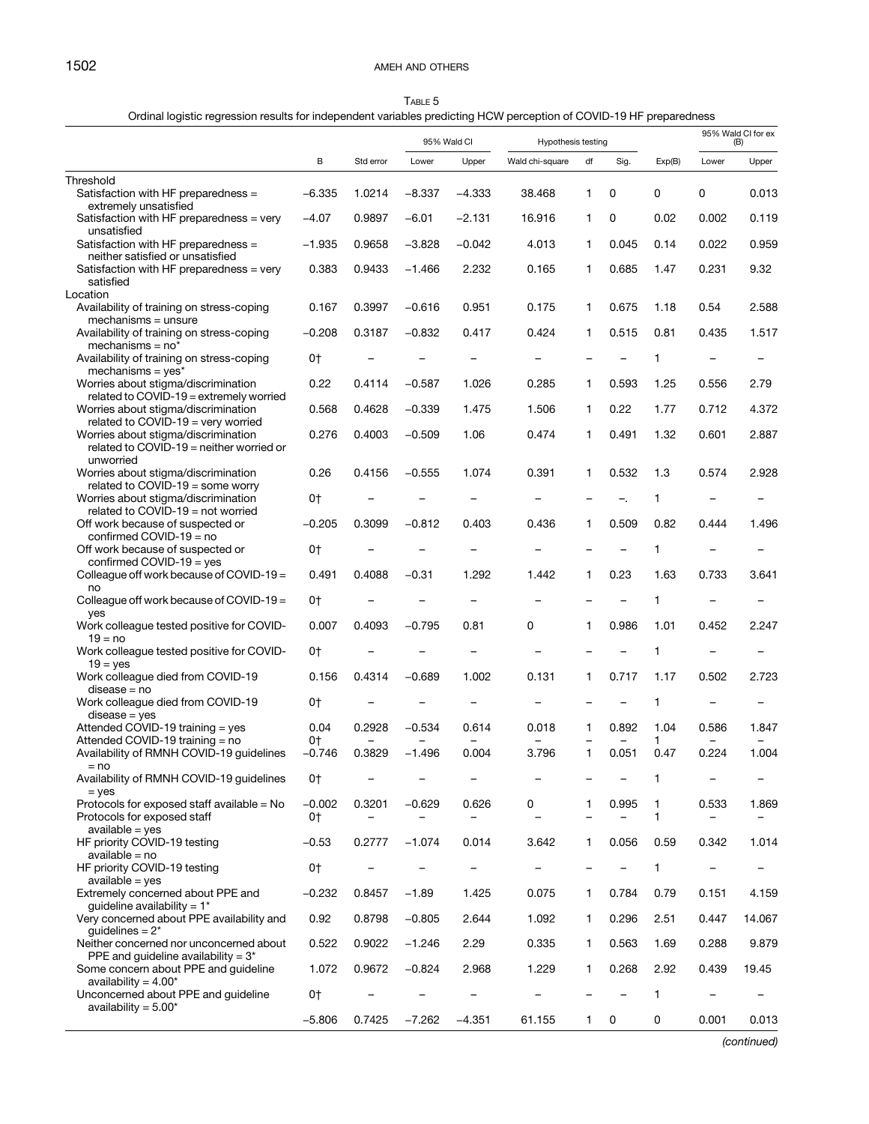| TABLE 5                                                                                                             |
|---------------------------------------------------------------------------------------------------------------------|
| Ordinal logistic regression results for independent variables predicting HCW perception of COVID-19 HF preparedness |

<span id="page-7-0"></span>

|                                                                                                                       |                            |           | 95% Wald CI |                            | Hypothesis testing |              |       |           | 95% Wald CI for ex<br>(B) |        |
|-----------------------------------------------------------------------------------------------------------------------|----------------------------|-----------|-------------|----------------------------|--------------------|--------------|-------|-----------|---------------------------|--------|
|                                                                                                                       | B                          | Std error | Lower       | Upper                      | Wald chi-square    | df           | Sig.  | Exp(B)    | Lower                     | Upper  |
| Threshold                                                                                                             |                            |           |             |                            |                    |              |       |           |                           |        |
| Satisfaction with HF preparedness =<br>extremely unsatisfied                                                          | $-6.335$                   | 1.0214    | $-8.337$    | $-4.333$                   | 38.468             | $\mathbf{1}$ | 0     | 0         | 0                         | 0.013  |
| Satisfaction with HF preparedness = very<br>unsatisfied                                                               | $-4.07$                    | 0.9897    | $-6.01$     | $-2.131$                   | 16.916             | $\mathbf{1}$ | 0     | 0.02      | 0.002                     | 0.119  |
| Satisfaction with HF preparedness =                                                                                   | $-1.935$                   | 0.9658    | $-3.828$    | $-0.042$                   | 4.013              | $\mathbf{1}$ | 0.045 | 0.14      | 0.022                     | 0.959  |
| neither satisfied or unsatisfied<br>Satisfaction with HF preparedness = very<br>satisfied                             | 0.383                      | 0.9433    | $-1.466$    | 2.232                      | 0.165              | $\mathbf{1}$ | 0.685 | 1.47      | 0.231                     | 9.32   |
| Location<br>Availability of training on stress-coping                                                                 | 0.167                      | 0.3997    | $-0.616$    | 0.951                      | 0.175              | $\mathbf{1}$ | 0.675 | 1.18      | 0.54                      | 2.588  |
| $mechanisms =$ unsure<br>Availability of training on stress-coping<br>mechanisms = $no*$                              | $-0.208$                   | 0.3187    | $-0.832$    | 0.417                      | 0.424              | $\mathbf{1}$ | 0.515 | 0.81      | 0.435                     | 1.517  |
| Availability of training on stress-coping                                                                             | 0 <sub>1</sub>             |           |             |                            |                    |              |       | 1         |                           |        |
| mechanisms = $yes*$<br>Worries about stigma/discrimination<br>related to COVID-19 = extremely worried                 | 0.22                       | 0.4114    | $-0.587$    | 1.026                      | 0.285              | $\mathbf{1}$ | 0.593 | 1.25      | 0.556                     | 2.79   |
| Worries about stigma/discrimination                                                                                   | 0.568                      | 0.4628    | $-0.339$    | 1.475                      | 1.506              | 1            | 0.22  | 1.77      | 0.712                     | 4.372  |
| related to COVID-19 = very worried<br>Worries about stigma/discrimination<br>related to COVID-19 = neither worried or | 0.276                      | 0.4003    | $-0.509$    | 1.06                       | 0.474              | $\mathbf{1}$ | 0.491 | 1.32      | 0.601                     | 2.887  |
| unworried<br>Worries about stigma/discrimination<br>related to COVID-19 = some worry                                  | 0.26                       | 0.4156    | $-0.555$    | 1.074                      | 0.391              | 1            | 0.532 | 1.3       | 0.574                     | 2.928  |
| Worries about stigma/discrimination                                                                                   | $0+$                       |           |             |                            |                    |              |       | 1         |                           |        |
| related to $COVID-19 = not worried$<br>Off work because of suspected or<br>confirmed COVID-19 = $no$                  | $-0.205$                   | 0.3099    | $-0.812$    | 0.403                      | 0.436              | 1            | 0.509 | 0.82      | 0.444                     | 1.496  |
| Off work because of suspected or<br>confirmed COVID-19 = $yes$                                                        | 0†                         |           |             |                            |                    |              |       | 1         |                           |        |
| Colleague off work because of COVID-19 =                                                                              | 0.491                      | 0.4088    | $-0.31$     | 1.292                      | 1.442              | 1            | 0.23  | 1.63      | 0.733                     | 3.641  |
| no<br>Colleague off work because of COVID-19 $=$                                                                      | 0 <sub>0</sub>             |           |             |                            |                    |              |       | 1         |                           |        |
| yes<br>Work colleague tested positive for COVID-<br>$19 = no$                                                         | 0.007                      | 0.4093    | $-0.795$    | 0.81                       | 0                  | $\mathbf{1}$ | 0.986 | 1.01      | 0.452                     | 2.247  |
| Work colleague tested positive for COVID-<br>$19 = yes$                                                               | 0†                         |           |             |                            |                    |              |       | 1         |                           |        |
| Work colleague died from COVID-19<br>$disease = no$                                                                   | 0.156                      | 0.4314    | $-0.689$    | 1.002                      | 0.131              | 1            | 0.717 | 1.17      | 0.502                     | 2.723  |
| Work colleague died from COVID-19<br>$disease = yes$                                                                  | 0 <sub>0</sub>             |           |             |                            |                    |              |       | 1         |                           |        |
| Attended COVID-19 training $=$ yes                                                                                    | 0.04                       | 0.2928    | $-0.534$    | 0.614                      | 0.018              | 1            | 0.892 | 1.04      | 0.586                     | 1.847  |
| Attended COVID-19 training $=$ no<br>Availability of RMNH COVID-19 guidelines                                         | 0†<br>$-0.746$             | 0.3829    | $-1.496$    | 0.004                      | 3.796              | $\mathbf{1}$ | 0.051 | 1<br>0.47 | 0.224                     | 1.004  |
| $= no$<br>Availability of RMNH COVID-19 guidelines<br>$=$ yes                                                         | 0†                         |           |             |                            |                    |              |       | 1         |                           |        |
| Protocols for exposed staff available $=$ No<br>Protocols for exposed staff                                           | $-0.002$<br>0 <sub>0</sub> | 0.3201    | $-0.629$    | 0.626<br>$\qquad \qquad -$ | 0                  | 1            | 0.995 | 1<br>1    | 0.533                     | 1.869  |
| $available = yes$<br>HF priority COVID-19 testing<br>$available = no$                                                 | $-0.53$                    | 0.2777    | $-1.074$    | 0.014                      | 3.642              | 1            | 0.056 | 0.59      | 0.342                     | 1.014  |
| HF priority COVID-19 testing                                                                                          | 0†                         |           |             | $\qquad \qquad -$          |                    |              |       | 1         |                           |        |
| $available = yes$<br>Extremely concerned about PPE and                                                                | $-0.232$                   | 0.8457    | $-1.89$     | 1.425                      | 0.075              | $\mathbf{1}$ | 0.784 | 0.79      | 0.151                     | 4.159  |
| guideline availability = $1^*$<br>Very concerned about PPE availability and                                           | 0.92                       | 0.8798    | $-0.805$    | 2.644                      | 1.092              | 1            | 0.296 | 2.51      | 0.447                     | 14.067 |
| guidelines = $2^*$<br>Neither concerned nor unconcerned about                                                         | 0.522                      | 0.9022    | $-1.246$    | 2.29                       | 0.335              | 1            | 0.563 | 1.69      | 0.288                     | 9.879  |
| PPE and guideline availability = $3*$<br>Some concern about PPE and guideline                                         | 1.072                      | 0.9672    | $-0.824$    | 2.968                      | 1.229              | 1            | 0.268 | 2.92      | 0.439                     | 19.45  |
| availability = $4.00*$<br>Unconcerned about PPE and guideline                                                         | 0†                         |           |             |                            |                    |              |       | 1         |                           |        |
| availability = $5.00*$                                                                                                | $-5.806$                   | 0.7425    | $-7.262$    | $-4.351$                   | 61.155             | 1            | 0     | 0         | 0.001                     | 0.013  |

(continued)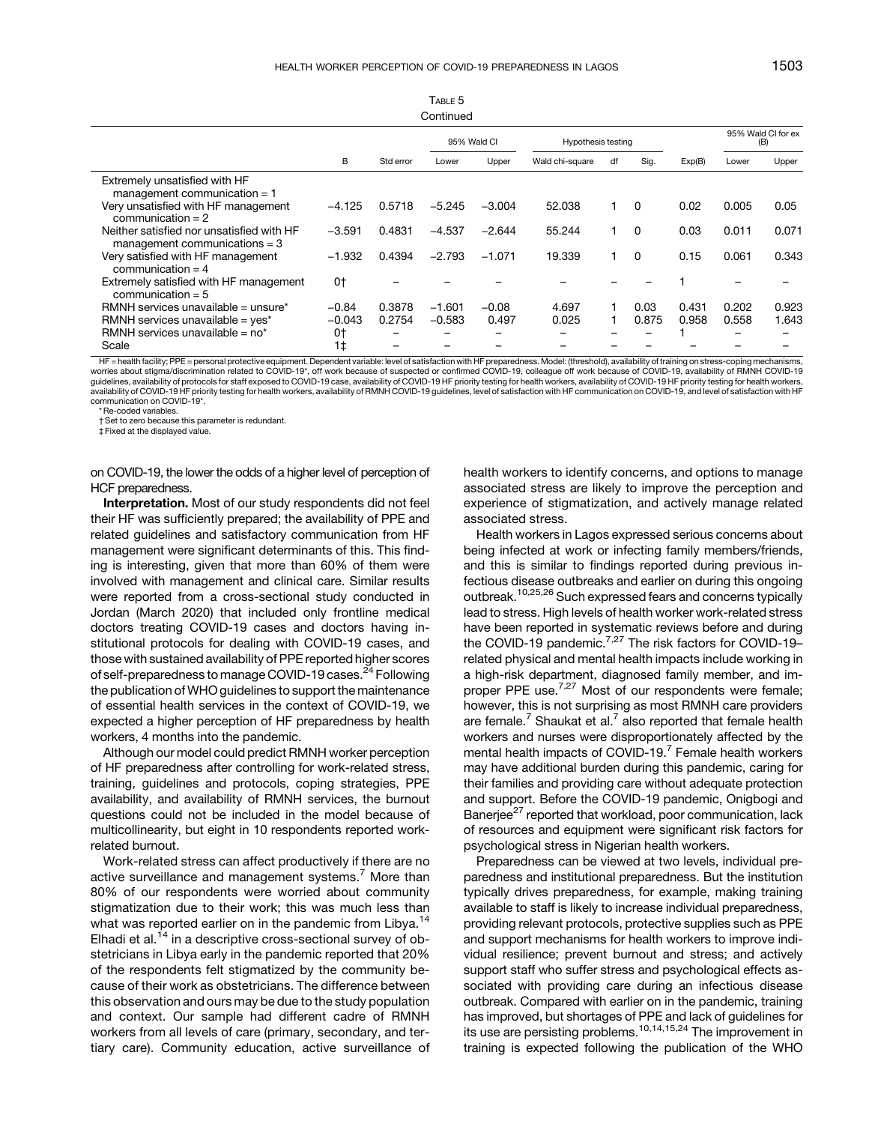$T_{ADL} = 5$ 

|                                                                              |          |           | IADLE J     |          |                    |    |       |        |                           |       |
|------------------------------------------------------------------------------|----------|-----------|-------------|----------|--------------------|----|-------|--------|---------------------------|-------|
| Continued                                                                    |          |           |             |          |                    |    |       |        |                           |       |
|                                                                              | в        |           | 95% Wald CI |          | Hypothesis testing |    |       |        | 95% Wald CI for ex<br>(B) |       |
|                                                                              |          | Std error | Lower       | Upper    | Wald chi-square    | df | Sig.  | Exp(B) | Lower                     | Upper |
| Extremely unsatisfied with HF<br>management communication $= 1$              |          |           |             |          |                    |    |       |        |                           |       |
| Very unsatisfied with HF management<br>$common = 2$                          | $-4.125$ | 0.5718    | $-5.245$    | $-3.004$ | 52.038             |    | 0     | 0.02   | 0.005                     | 0.05  |
| Neither satisfied nor unsatisfied with HF<br>$management$ communications = 3 | $-3.591$ | 0.4831    | $-4.537$    | $-2.644$ | 55.244             |    | 0     | 0.03   | 0.011                     | 0.071 |
| Very satisfied with HF management<br>communication = $4$                     | $-1.932$ | 0.4394    | $-2.793$    | $-1.071$ | 19.339             |    | 0     | 0.15   | 0.061                     | 0.343 |
| Extremely satisfied with HF management<br>communication $= 5$                | 0†       |           |             |          |                    |    |       |        |                           |       |
| RMNH services unavailable = unsure*                                          | $-0.84$  | 0.3878    | $-1.601$    | $-0.08$  | 4.697              |    | 0.03  | 0.431  | 0.202                     | 0.923 |
| RMNH services unavailable = $ves*$                                           | $-0.043$ | 0.2754    | $-0.583$    | 0.497    | 0.025              |    | 0.875 | 0.958  | 0.558                     | 1.643 |
| RMNH services unavailable = $no^*$                                           | 0†       |           |             |          |                    |    |       |        |                           |       |
| Scale                                                                        | 1‡       |           |             |          |                    |    |       |        |                           |       |

HF = health facility; PPE = personal protective equipment. Dependent variable: level of satisfaction with HF preparedness. Model: (threshold), availability of training on stress-coping mechanisms worries about stigma/discrimination related to COVID-19\*, off work because of suspected or confirmed COVID-19, colleague off work because of COVID-19, availability of RMNH COVID-19 guidelines, availability of protocols for staff exposed to COVID-19 case, availability of COVID-19 HF priority testing for health workers, availability of COVID-19 HF priority testing for health workers, availability of CO availability of COVID-19 HF priority testing for health workers, availability of RMNH COVID-19 guidelines, level of satisfaction with HF communication on COVID-19, and level of satisfaction with HF communication on COVID-1 communication on COVID-19\*.

Re-coded variables.

† Set to zero because this parameter is redundant.

‡ Fixed at the displayed value.

on COVID-19, the lower the odds of a higher level of perception of HCF preparedness.

Interpretation. Most of our study respondents did not feel their HF was sufficiently prepared; the availability of PPE and related guidelines and satisfactory communication from HF management were significant determinants of this. This finding is interesting, given that more than 60% of them were involved with management and clinical care. Similar results were reported from a cross-sectional study conducted in Jordan (March 2020) that included only frontline medical doctors treating COVID-19 cases and doctors having institutional protocols for dealing with COVID-19 cases, and those with sustained availability of PPE reported higher scores of self-preparedness to manage COVID-19 cases.<sup>[24](#page-11-0)</sup> Following the publication of WHO guidelines to support the maintenance of essential health services in the context of COVID-19, we expected a higher perception of HF preparedness by health workers, 4 months into the pandemic.

Although our model could predict RMNH worker perception of HF preparedness after controlling for work-related stress, training, guidelines and protocols, coping strategies, PPE availability, and availability of RMNH services, the burnout questions could not be included in the model because of multicollinearity, but eight in 10 respondents reported workrelated burnout.

Work-related stress can affect productively if there are no active surveillance and management systems.<sup>[7](#page-10-0)</sup> More than 80% of our respondents were worried about community stigmatization due to their work; this was much less than what was reported earlier on in the pandemic from Libya.<sup>14</sup> Elhadi et al.<sup>[14](#page-10-0)</sup> in a descriptive cross-sectional survey of obstetricians in Libya early in the pandemic reported that 20% of the respondents felt stigmatized by the community because of their work as obstetricians. The difference between this observation and ours may be due to the study population and context. Our sample had different cadre of RMNH workers from all levels of care (primary, secondary, and tertiary care). Community education, active surveillance of health workers to identify concerns, and options to manage associated stress are likely to improve the perception and experience of stigmatization, and actively manage related associated stress.

Health workers in Lagos expressed serious concerns about being infected at work or infecting family members/friends, and this is similar to findings reported during previous infectious disease outbreaks and earlier on during this ongoing outbreak.[10,](#page-10-0)[25](#page-11-0),[26](#page-11-0) Such expressed fears and concerns typically lead to stress. High levels of health worker work-related stress have been reported in systematic reviews before and during the COVID-19 pandemic. $7.27$  $7.27$  The risk factors for COVID-19related physical and mental health impacts include working in a high-risk department, diagnosed family member, and im-proper PPE use.<sup>[7](#page-10-0)[,27](#page-11-0)</sup> Most of our respondents were female; however, this is not surprising as most RMNH care providers are female.<sup>[7](#page-10-0)</sup> Shaukat et al.<sup>7</sup> also reported that female health workers and nurses were disproportionately affected by the mental health impacts of COVID-19.<sup>[7](#page-10-0)</sup> Female health workers may have additional burden during this pandemic, caring for their families and providing care without adequate protection and support. Before the COVID-19 pandemic, Onigbogi and Banerjee<sup>[27](#page-11-0)</sup> reported that workload, poor communication, lack of resources and equipment were significant risk factors for psychological stress in Nigerian health workers.

Preparedness can be viewed at two levels, individual preparedness and institutional preparedness. But the institution typically drives preparedness, for example, making training available to staff is likely to increase individual preparedness, providing relevant protocols, protective supplies such as PPE and support mechanisms for health workers to improve individual resilience; prevent burnout and stress; and actively support staff who suffer stress and psychological effects associated with providing care during an infectious disease outbreak. Compared with earlier on in the pandemic, training has improved, but shortages of PPE and lack of guidelines for its use are persisting problems.[10,14,15,](#page-10-0)[24](#page-11-0) The improvement in training is expected following the publication of the WHO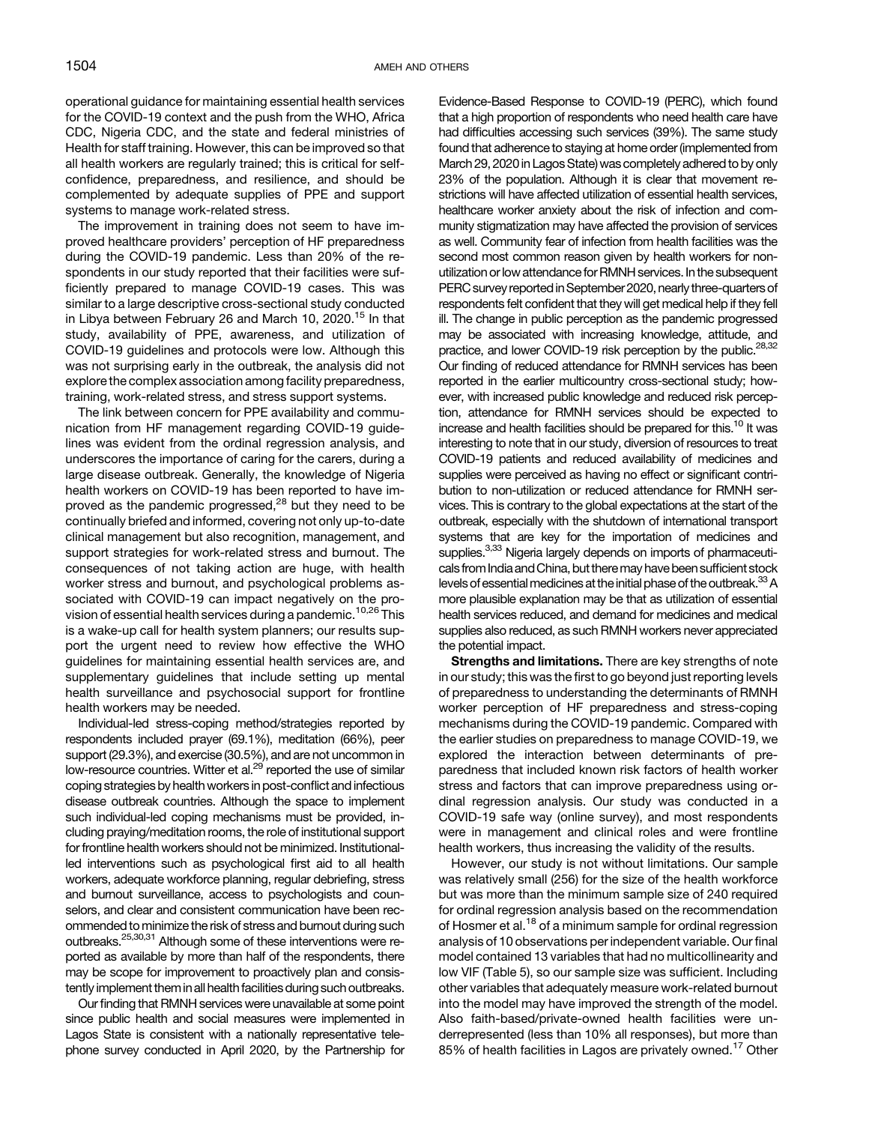operational guidance for maintaining essential health services for the COVID-19 context and the push from the WHO, Africa CDC, Nigeria CDC, and the state and federal ministries of Health for staff training. However, this can be improved so that all health workers are regularly trained; this is critical for selfconfidence, preparedness, and resilience, and should be complemented by adequate supplies of PPE and support systems to manage work-related stress.

The improvement in training does not seem to have improved healthcare providers' perception of HF preparedness during the COVID-19 pandemic. Less than 20% of the respondents in our study reported that their facilities were sufficiently prepared to manage COVID-19 cases. This was similar to a large descriptive cross-sectional study conducted in Libya between February 26 and March 10, 2020.<sup>[15](#page-10-0)</sup> In that study, availability of PPE, awareness, and utilization of COVID-19 guidelines and protocols were low. Although this was not surprising early in the outbreak, the analysis did not explore the complex association among facility preparedness, training, work-related stress, and stress support systems.

The link between concern for PPE availability and communication from HF management regarding COVID-19 guidelines was evident from the ordinal regression analysis, and underscores the importance of caring for the carers, during a large disease outbreak. Generally, the knowledge of Nigeria health workers on COVID-19 has been reported to have improved as the pandemic progressed, $^{28}$  $^{28}$  $^{28}$  but they need to be continually briefed and informed, covering not only up-to-date clinical management but also recognition, management, and support strategies for work-related stress and burnout. The consequences of not taking action are huge, with health worker stress and burnout, and psychological problems associated with COVID-19 can impact negatively on the pro-vision of essential health services during a pandemic.<sup>[10,](#page-10-0)[26](#page-11-0)</sup> This is a wake-up call for health system planners; our results support the urgent need to review how effective the WHO guidelines for maintaining essential health services are, and supplementary guidelines that include setting up mental health surveillance and psychosocial support for frontline health workers may be needed.

Individual-led stress-coping method/strategies reported by respondents included prayer (69.1%), meditation (66%), peer support (29.3%), and exercise (30.5%), and are not uncommon in low-resource countries. Witter et al.<sup>29</sup> reported the use of similar coping strategies by health workers in post-conflict and infectious disease outbreak countries. Although the space to implement such individual-led coping mechanisms must be provided, including praying/meditation rooms, the role of institutional support for frontline health workers should not be minimized. Institutionalled interventions such as psychological first aid to all health workers, adequate workforce planning, regular debriefing, stress and burnout surveillance, access to psychologists and counselors, and clear and consistent communication have been recommended to minimize the risk of stress and burnout during such outbreaks.[25,30](#page-11-0),[31](#page-11-0) Although some of these interventions were reported as available by more than half of the respondents, there may be scope for improvement to proactively plan and consistently implement them in all health facilities during such outbreaks.

Our finding that RMNH services were unavailable at some point since public health and social measures were implemented in Lagos State is consistent with a nationally representative telephone survey conducted in April 2020, by the Partnership for Evidence-Based Response to COVID-19 (PERC), which found that a high proportion of respondents who need health care have had difficulties accessing such services (39%). The same study found that adherence to staying at home order (implemented from March 29, 2020 in Lagos State) was completely adhered to by only 23% of the population. Although it is clear that movement restrictions will have affected utilization of essential health services, healthcare worker anxiety about the risk of infection and community stigmatization may have affected the provision of services as well. Community fear of infection from health facilities was the second most common reason given by health workers for nonutilization or low attendance for RMNH services. In the subsequent PERC survey reported in September 2020, nearly three-quarters of respondents felt confident that they will get medical help if they fell ill. The change in public perception as the pandemic progressed may be associated with increasing knowledge, attitude, and practice, and lower COVID-19 risk perception by the public.<sup>[28,32](#page-11-0)</sup> Our finding of reduced attendance for RMNH services has been reported in the earlier multicountry cross-sectional study; however, with increased public knowledge and reduced risk perception, attendance for RMNH services should be expected to increase and health facilities should be prepared for this.<sup>10</sup> It was interesting to note that in our study, diversion of resources to treat COVID-19 patients and reduced availability of medicines and supplies were perceived as having no effect or significant contribution to non-utilization or reduced attendance for RMNH services. This is contrary to the global expectations at the start of the outbreak, especially with the shutdown of international transport systems that are key for the importation of medicines and supplies.<sup>3[,33](#page-11-0)</sup> Nigeria largely depends on imports of pharmaceuticals from India and China, but there may have been sufficient stock levels of essential medicines at the initial phase of the outbreak.<sup>33</sup> A more plausible explanation may be that as utilization of essential health services reduced, and demand for medicines and medical supplies also reduced, as such RMNH workers never appreciated the potential impact.

**Strengths and limitations.** There are key strengths of note in our study; this was the first to go beyond just reporting levels of preparedness to understanding the determinants of RMNH worker perception of HF preparedness and stress-coping mechanisms during the COVID-19 pandemic. Compared with the earlier studies on preparedness to manage COVID-19, we explored the interaction between determinants of preparedness that included known risk factors of health worker stress and factors that can improve preparedness using ordinal regression analysis. Our study was conducted in a COVID-19 safe way (online survey), and most respondents were in management and clinical roles and were frontline health workers, thus increasing the validity of the results.

However, our study is not without limitations. Our sample was relatively small (256) for the size of the health workforce but was more than the minimum sample size of 240 required for ordinal regression analysis based on the recommendation of Hosmer et al.<sup>[18](#page-10-0)</sup> of a minimum sample for ordinal regression analysis of 10 observations per independent variable. Our final model contained 13 variables that had no multicollinearity and low VIF [\(Table 5](#page-7-0)), so our sample size was sufficient. Including other variables that adequately measure work-related burnout into the model may have improved the strength of the model. Also faith-based/private-owned health facilities were underrepresented (less than 10% all responses), but more than 85% of health facilities in Lagos are privately owned.<sup>[17](#page-10-0)</sup> Other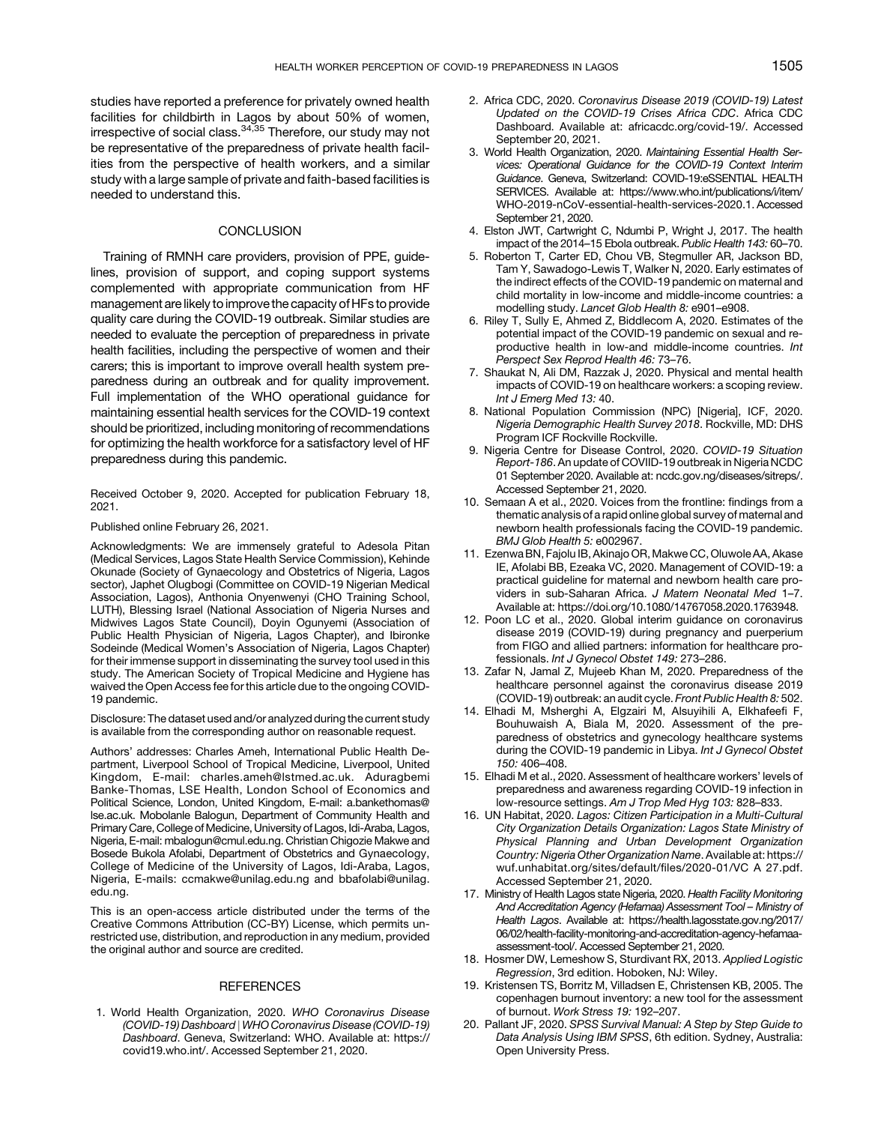<span id="page-10-0"></span>studies have reported a preference for privately owned health facilities for childbirth in Lagos by about 50% of women, irrespective of social class.<sup>[34,35](#page-11-0)</sup> Therefore, our study may not be representative of the preparedness of private health facilities from the perspective of health workers, and a similar study with a large sample of private and faith-based facilities is needed to understand this.

## **CONCLUSION**

Training of RMNH care providers, provision of PPE, guidelines, provision of support, and coping support systems complemented with appropriate communication from HF management are likely to improve the capacity of HFs to provide quality care during the COVID-19 outbreak. Similar studies are needed to evaluate the perception of preparedness in private health facilities, including the perspective of women and their carers; this is important to improve overall health system preparedness during an outbreak and for quality improvement. Full implementation of the WHO operational guidance for maintaining essential health services for the COVID-19 context should be prioritized, including monitoring of recommendations for optimizing the health workforce for a satisfactory level of HF preparedness during this pandemic.

Received October 9, 2020. Accepted for publication February 18, 2021.

#### Published online February 26, 2021.

Acknowledgments: We are immensely grateful to Adesola Pitan (Medical Services, Lagos State Health Service Commission), Kehinde Okunade (Society of Gynaecology and Obstetrics of Nigeria, Lagos sector), Japhet Olugbogi (Committee on COVID-19 Nigerian Medical Association, Lagos), Anthonia Onyenwenyi (CHO Training School, LUTH), Blessing Israel (National Association of Nigeria Nurses and Midwives Lagos State Council), Doyin Ogunyemi (Association of Public Health Physician of Nigeria, Lagos Chapter), and Ibironke Sodeinde (Medical Women's Association of Nigeria, Lagos Chapter) for their immense support in disseminating the survey tool used in this study. The American Society of Tropical Medicine and Hygiene has waived the Open Access fee for this article due to the ongoing COVID-19 pandemic.

Disclosure: The dataset used and/or analyzed during the current study is available from the corresponding author on reasonable request.

Authors' addresses: Charles Ameh, International Public Health Department, Liverpool School of Tropical Medicine, Liverpool, United Kingdom, E-mail: [charles.ameh@lstmed.ac.uk](mailto:charles.ameh@lstmed.ac.uk). Aduragbemi Banke-Thomas, LSE Health, London School of Economics and Political Science, London, United Kingdom, E-mail: [a.bankethomas@](mailto:a.bankethomas@lse.ac.uk) [lse.ac.uk](mailto:a.bankethomas@lse.ac.uk). Mobolanle Balogun, Department of Community Health and Primary Care, College of Medicine, University of Lagos, Idi-Araba, Lagos, Nigeria, E-mail: [mbalogun@cmul.edu.ng.](mailto:mbalogun@cmul.edu.ng) Christian Chigozie Makwe and Bosede Bukola Afolabi, Department of Obstetrics and Gynaecology, College of Medicine of the University of Lagos, Idi-Araba, Lagos, Nigeria, E-mails: [ccmakwe@unilag.edu.ng](mailto:ccmakwe@unilag.edu.ng) and [bbafolabi@unilag.](mailto:bbafolabi@unilag.edu.ng) [edu.ng.](mailto:bbafolabi@unilag.edu.ng)

This is an open-access article distributed under the terms of the [Creative Commons Attribution \(CC-BY\) License](https://creativecommons.org/licenses/by/4.0/), which permits unrestricted use, distribution, and reproduction in any medium, provided the original author and source are credited.

#### **REFERENCES**

1. World Health Organization, 2020. WHO Coronavirus Disease (COVID-19) Dashboard j WHO Coronavirus Disease (COVID-19) Dashboard. Geneva, Switzerland: WHO. Available at: [https://](https://covid19.who.int/) [covid19.who.int/.](https://covid19.who.int/) Accessed September 21, 2020.

- 2. Africa CDC, 2020. Coronavirus Disease 2019 (COVID-19) Latest Updated on the COVID-19 Crises Africa CDC. Africa CDC Dashboard. Available at: [africacdc.org/covid-19/](http://africacdc.org/covid-19/). Accessed September 20, 2021.
- 3. World Health Organization, 2020. Maintaining Essential Health Services: Operational Guidance for the COVID-19 Context Interim Guidance. Geneva, Switzerland: COVID-19:eSSENTIAL HEALTH SERVICES. Available at: [https://www.who.int/publications/i/item/](https://www.who.int/publications/i/item/WHO-2019-nCoV-essential-health-services-2020.1) [WHO-2019-nCoV-essential-health-services-2020.1.](https://www.who.int/publications/i/item/WHO-2019-nCoV-essential-health-services-2020.1) Accessed September 21, 2020.
- 4. Elston JWT, Cartwright C, Ndumbi P, Wright J, 2017. The health impact of the 2014–15 Ebola outbreak. Public Health 143: 60–70.
- 5. Roberton T, Carter ED, Chou VB, Stegmuller AR, Jackson BD, Tam Y, Sawadogo-Lewis T, Walker N, 2020. Early estimates of the indirect effects of the COVID-19 pandemic on maternal and child mortality in low-income and middle-income countries: a modelling study. Lancet Glob Health 8: e901–e908.
- 6. Riley T, Sully E, Ahmed Z, Biddlecom A, 2020. Estimates of the potential impact of the COVID-19 pandemic on sexual and reproductive health in low-and middle-income countries. Int Perspect Sex Reprod Health 46: 73–76.
- 7. Shaukat N, Ali DM, Razzak J, 2020. Physical and mental health impacts of COVID-19 on healthcare workers: a scoping review. Int J Emerg Med 13: 40.
- 8. National Population Commission (NPC) [Nigeria], ICF, 2020. Nigeria Demographic Health Survey 2018. Rockville, MD: DHS Program ICF Rockville Rockville.
- 9. Nigeria Centre for Disease Control, 2020. COVID-19 Situation Report-186. An update of COVIID-19 outbreak in Nigeria NCDC 01 September 2020. Available at: [ncdc.gov.ng/diseases/sitreps/.](http://ncdc.gov.ng/diseases/sitreps/) Accessed September 21, 2020.
- 10. Semaan A et al., 2020. Voices from the frontline: findings from a thematic analysis of a rapid online global survey of maternal and newborn health professionals facing the COVID-19 pandemic. BMJ Glob Health 5: e002967.
- 11. Ezenwa BN, Fajolu IB, Akinajo OR, Makwe CC, Oluwole AA, Akase IE, Afolabi BB, Ezeaka VC, 2020. Management of COVID-19: a practical guideline for maternal and newborn health care providers in sub-Saharan Africa. J Matern Neonatal Med 1–7. Available at: [https://doi.org/10.1080/14767058.2020.1763948.](https://doi.org/10.1080/14767058.2020.1763948)
- 12. Poon LC et al., 2020. Global interim guidance on coronavirus disease 2019 (COVID-19) during pregnancy and puerperium from FIGO and allied partners: information for healthcare professionals. Int J Gynecol Obstet 149: 273–286.
- 13. Zafar N, Jamal Z, Mujeeb Khan M, 2020. Preparedness of the healthcare personnel against the coronavirus disease 2019 (COVID-19) outbreak: an audit cycle. Front Public Health 8: 502.
- 14. Elhadi M, Msherghi A, Elgzairi M, Alsuyihili A, Elkhafeefi F, Bouhuwaish A, Biala M, 2020. Assessment of the preparedness of obstetrics and gynecology healthcare systems during the COVID-19 pandemic in Libya. Int J Gynecol Obstet 150: 406–408.
- 15. Elhadi M et al., 2020. Assessment of healthcare workers' levels of preparedness and awareness regarding COVID-19 infection in low-resource settings. Am J Trop Med Hyg 103: 828–833.
- 16. UN Habitat, 2020. Lagos: Citizen Participation in a Multi-Cultural City Organization Details Organization: Lagos State Ministry of Physical Planning and Urban Development Organization Country: Nigeria Other Organization Name. Available at: [https://](https://wuf.unhabitat.org/sites/default/files/2020-01/VC%20A%2027.pdf) [wuf.unhabitat.org/sites/default/](https://wuf.unhabitat.org/sites/default/files/2020-01/VC%20A%2027.pdf)files/2020-01/VC A 27.pdf. Accessed September 21, 2020.
- 17. Ministry of Health Lagos state Nigeria, 2020. Health Facility Monitoring And Accreditation Agency (Hefamaa) Assessment Tool – Ministry of Health Lagos. Available at: [https://health.lagosstate.gov.ng/2017/](https://health.lagosstate.gov.ng/2017/06/02/health-facility-monitoring-and-accreditation-agency-hefamaa-assessment-tool/) [06/02/health-facility-monitoring-and-accreditation-agency-hefamaa](https://health.lagosstate.gov.ng/2017/06/02/health-facility-monitoring-and-accreditation-agency-hefamaa-assessment-tool/)[assessment-tool/.](https://health.lagosstate.gov.ng/2017/06/02/health-facility-monitoring-and-accreditation-agency-hefamaa-assessment-tool/) Accessed September 21, 2020.
- 18. Hosmer DW, Lemeshow S, Sturdivant RX, 2013. Applied Logistic Regression, 3rd edition. Hoboken, NJ: Wiley.
- 19. Kristensen TS, Borritz M, Villadsen E, Christensen KB, 2005. The copenhagen burnout inventory: a new tool for the assessment of burnout. Work Stress 19: 192–207.
- 20. Pallant JF, 2020. SPSS Survival Manual: A Step by Step Guide to Data Analysis Using IBM SPSS, 6th edition. Sydney, Australia: Open University Press.